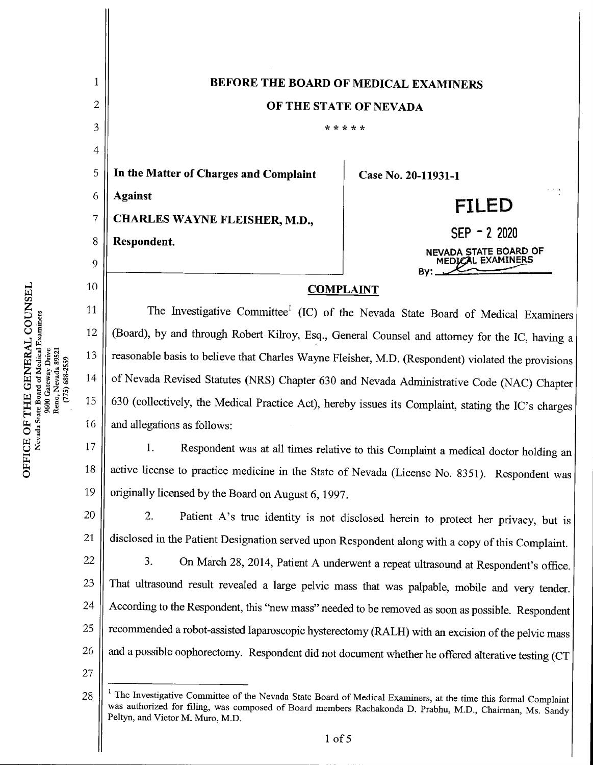

 $\Xi$  g  $^2$ E OF T:<br>Vevada Stat TCE C<br>Nevad Gatewa<br>Nevac<br>75) 688 COUT<br>miners w ^

1 of 5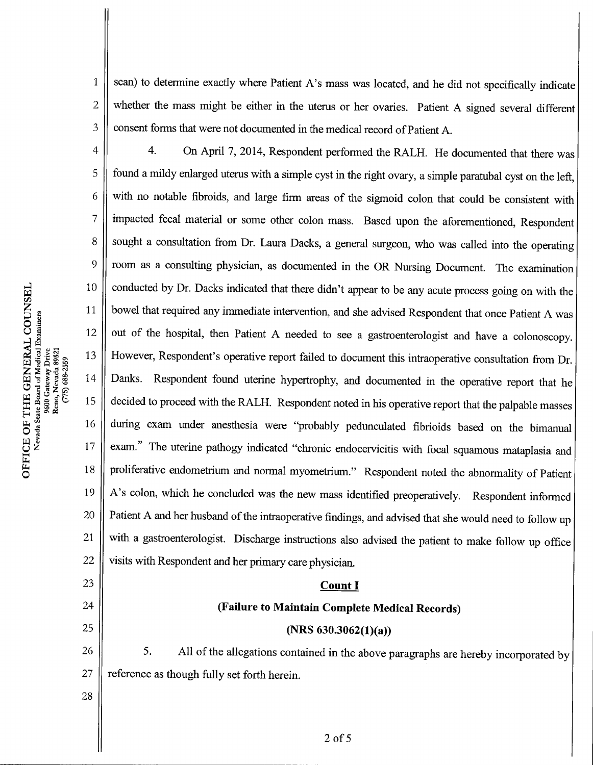$1 \parallel$  scan) to determine exactly where Patient A's mass was located, and he did not specifically indicate  $2 \parallel$  whether the mass might be either in the uterus or her ovaries. Patient A signed several different  $3 \parallel$  consent forms that were not documented in the medical record of Patient A.

4. On April 7, 2014, Respondent performed the RALH. He documented that there was<br>5. found a mildy enlarged uterus with a simple cyst in the right ovary a simple paratubal cyst on the left found a mildy enlarged uterus with a simple cyst in the right ovary, a simple paratubal cyst on the left,  $6 \parallel$  with no notable fibroids, and large firm areas of the sigmoid colon that could be consistent with 7 | impacted fecal material or some other colon mass. Based upon the aforementioned, Respondent 8 | sought a consultation from Dr. Laura Dacks, a general surgeon, who was called into the operating  $9 \parallel$  room as a consulting physician, as documented in the OR Nursing Document. The examination 10 conducted by Dr. Dacks indicated that there didn't appear to be any acute process going on with the 11 | bowel that required any immediate intervention, and she advised Respondent that once Patient A was 12  $\parallel$  out of the hospital, then Patient A needed to see a gastroenterologist and have a colonoscopy. 13 However, Respondent's operative report failed to document this intraoperative consultation from Dr. 14 | Danks. Respondent found uterine hypertrophy, and documented in the operative report that he 15 decided to proceed with the RALH. Respondent noted in his operative report that the palpable masses 16 during exam under anesthesia were "probably pedunculated fibrioids based on the bimanual 17 | exam." The uterine pathogy indicated "chronic endocervicitis with focal squamous mataplasia and 18 | proliferative endometrium and normal myometrium." Respondent noted the abnormality of Patient 19  $\parallel$  A's colon, which he concluded was the new mass identified preoperatively. Respondent informed 20  $\parallel$  Patient A and her husband of the intraoperative findings, and advised that she would need to follow up 21  $\parallel$  with a gastroenterologist. Discharge instructions also advised the patient to make follow up office 22  $\parallel$  visits with Respondent and her primary care physician. 16<br>
<br>
during exam under anesthesia were "probably per<br>
exam." The uterine pathogy indicated "chronic endo<br>
proliferative endometrium and normal myometrium."<br>
A's colon, which he concluded was the new mass ide<br>
<br>
Patient A 18<br>
Proliferative endometrium and normal myometrium." Respondent noted th<br>
19<br>
A's colon, which he concluded was the new mass identified preoperatively.<br>
20<br>
Patient A and her husband of the intraoperative findings, and a 26 The matrice of the state of the state of the state of the state of the state of the state of the state of the state of the state of the state of the state of the state of the probably peduncular production.<br>
25 (A's col

24 (Failure to Maintain Complete Medical Records)<br>
25. All of the allegations contained in the above paragraphs are hereby incorporated by<br>
27 reference as though fully set forth herein reference as though fully set forth herein.

28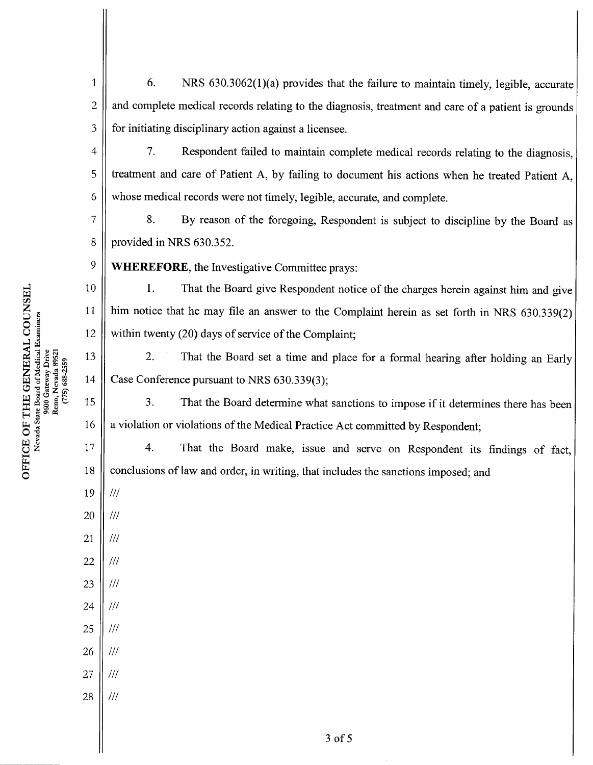6. NRS  $630.3062(1)(a)$  provides that the failure to maintain timely, legible, accurate and complete medical records relating to the diagnosis, treatment and care of a patient is grounds for initiating disciplinary action against a licensee. 1 2 3

7. Respondent failed to maintain complete medical records relating to the diagnosis, treatment and care of Patient A, by failing to document his actions when he treated Patient A, whose medical records were not timely, legible, accurate, and complete.

8. By reason of the foregoing, Respondent is subject to discipline by the Board as provided in NRS 630.352.

WHEREFORE, the Investigative Committee prays:

1. That the Board give Respondent notice of the charges herein against him and give him notice that he may file an answer to the Complaint herein as set forth in NRS 630.339(2) within twenty  $(20)$  days of service of the Complaint;

2. That the Board set a time and place for a formal hearing after holding an Early Case Conference pursuant to NRS 630.339(3);

3. That the Board determine what sanctions to impose if it determines there has been a violation or violations of the Medical Practice Act committed by Respondent;

4.That the Board make, issue and serve on Respondent its findings of fact, conclusions of law and order, in writing, that includes the sanctions imposed; and

19  $/$ /// 20  $^{\prime\prime\prime}$ 

4

5

6

7

8

9

10

11

12

13

14

15

16

17

18

- 21 ///
- 22  $/$
- 23  $^{\prime\prime\prime}$
- 24  $^{\prime\prime\prime}$
- 25  $111$ 26  $^{\prime\prime\prime}$
- 27  $^{\prime\prime\prime}$
- 28  $\frac{1}{1}$

띴<br>"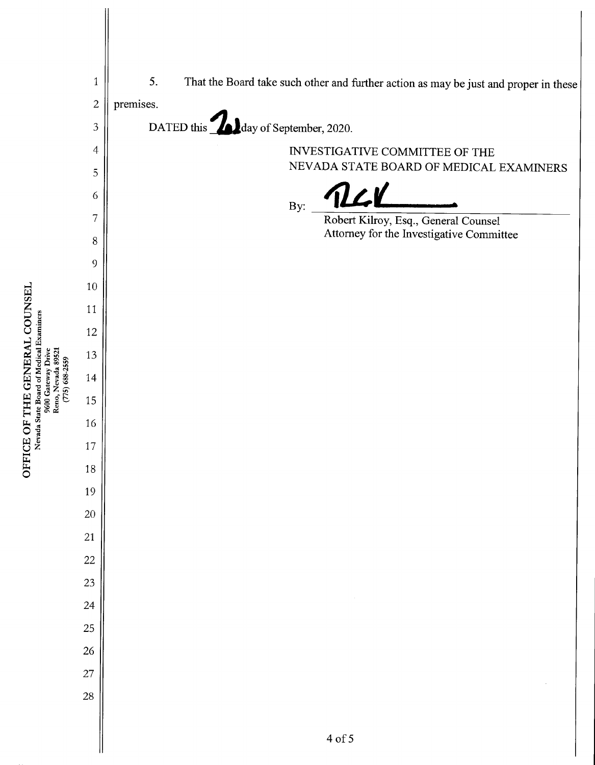

 $\sigma$  -gravit U<br>U Sera<br>N

Nevada State Board of Medical Examiners

ី<br>ឆ្ល

Ş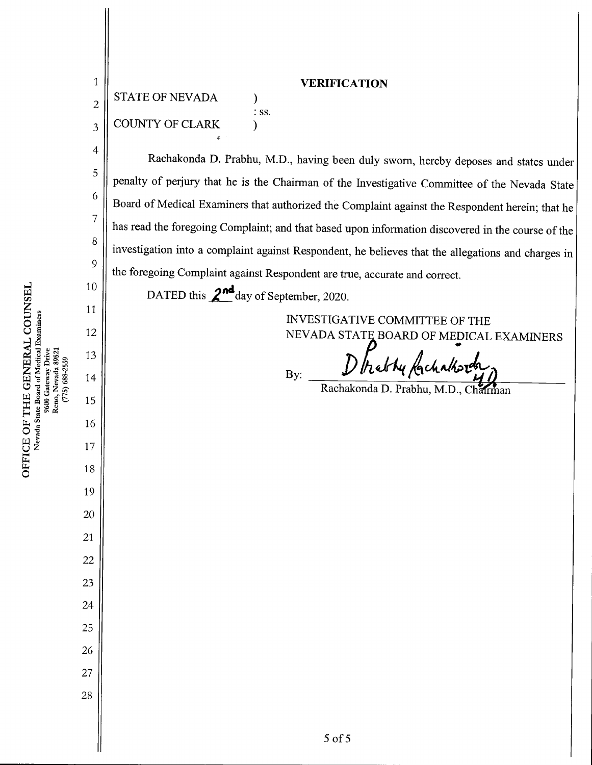| ICE OF THE GENERAL COUNSEL | Nevada State Board of Medical Examiners | 9600 Gateway Drive | Reno, Nevada 89521 | $(775)$ 688-2559 |
|----------------------------|-----------------------------------------|--------------------|--------------------|------------------|

**OFFI** 

1 || VERIFICATION STATE OF NEVADA  $\mathcal{E}$ 2 : ss. **COUNTY OF CLARK** 3  $\mathcal{E}$ 4 Rachakonda D. Prabhu, M.D., having been duly sworn, hereby deposes and states under 5 penalty of perjury that he is the Chairman of the Investigative Committee of the Nevada State 6 Board of Medical Examiners that authorized the Complaint against the Respondent herein; that he 7 has read the foregoing Complaint; and that based upon information discovered in the course of the 8 investigation into a complaint against Respondent, he believes that the allegations and charges in 9 the foregoing Complaint against Respondent are true, accurate and correct. 10 DATED this  $\mathbf{2}^{\text{nd}}$ day of September, 2020. 11 INVESTIGATIVE COMMITTEE OF THE 12 NEVADA STATE BOARD OF MEDICAL EXAMINERS 13 D hably fachaltered By: 14 15 16 17 18 19 20 21 22 23 24 25 26 27 28